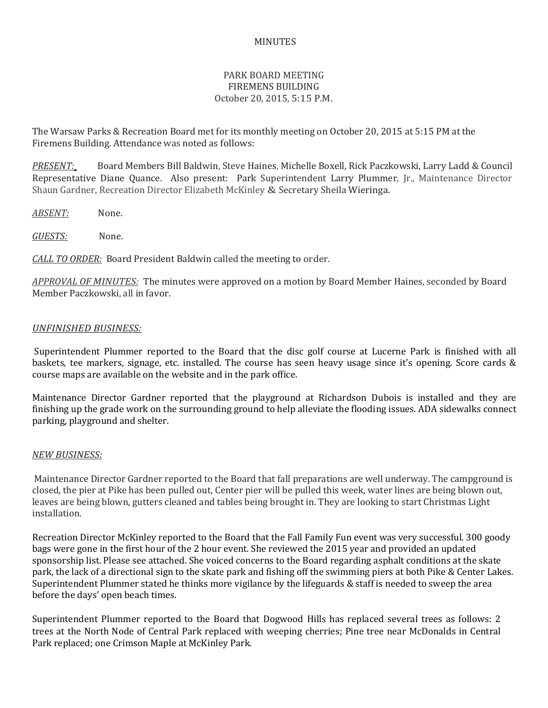## MINUTES

## PARK BOARD MEETING FIREMENS BUILDING October 20, 2015, 5:15 P.M.

The Warsaw Parks & Recreation Board met for its monthly meeting on October 20, 2015 at 5:15 PM at the Firemens Building. Attendance was noted as follows:

*PRESENT:* Board Members Bill Baldwin, Steve Haines, Michelle Boxell, Rick Paczkowski, Larry Ladd & Council Representative Diane Quance. Also present: Park Superintendent Larry Plummer, Jr., Maintenance Director Shaun Gardner, Recreation Director Elizabeth McKinley & Secretary Sheila Wieringa.

*ABSENT:* None.

*GUESTS:* None.

*CALL TO ORDER:* Board President Baldwin called the meeting to order.

*APPROVAL OF MINUTES:* The minutes were approved on a motion by Board Member Haines, seconded by Board Member Paczkowski, all in favor.

## *UNFINISHED BUSINESS:*

Superintendent Plummer reported to the Board that the disc golf course at Lucerne Park is finished with all baskets, tee markers, signage, etc. installed. The course has seen heavy usage since it's opening. Score cards & course maps are available on the website and in the park office.

Maintenance Director Gardner reported that the playground at Richardson Dubois is installed and they are finishing up the grade work on the surrounding ground to help alleviate the flooding issues. ADA sidewalks connect parking, playground and shelter.

## *NEW BUSINESS:*

Maintenance Director Gardner reported to the Board that fall preparations are well underway. The campground is closed, the pier at Pike has been pulled out, Center pier will be pulled this week, water lines are being blown out, leaves are being blown, gutters cleaned and tables being brought in. They are looking to start Christmas Light installation.

Recreation Director McKinley reported to the Board that the Fall Family Fun event was very successful. 300 goody bags were gone in the first hour of the 2 hour event. She reviewed the 2015 year and provided an updated sponsorship list. Please see attached. She voiced concerns to the Board regarding asphalt conditions at the skate park, the lack of a directional sign to the skate park and fishing off the swimming piers at both Pike & Center Lakes. Superintendent Plummer stated he thinks more vigilance by the lifeguards & staff is needed to sweep the area before the days' open beach times.

Superintendent Plummer reported to the Board that Dogwood Hills has replaced several trees as follows: 2 trees at the North Node of Central Park replaced with weeping cherries; Pine tree near McDonalds in Central Park replaced; one Crimson Maple at McKinley Park.